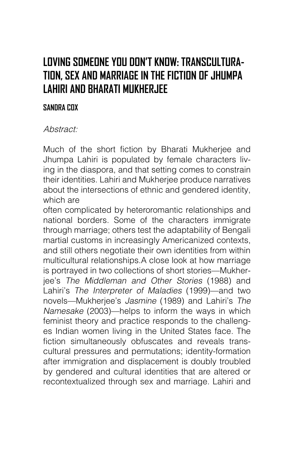## **LOVING SOMEONE YOU DON'T KNOW: TRANSCULTURA-TION, SEX AND MARRIAGE IN THE FICTION OF JHUMPA LAHIRI AND BHARATI MUKHERJEE**

## **SANDRA COX**

## Abstract:

Much of the short fiction by Bharati Mukherjee and Jhumpa Lahiri is populated by female characters living in the diaspora, and that setting comes to constrain their identities. Lahiri and Mukherjee produce narratives about the intersections of ethnic and gendered identity, which are

often complicated by heteroromantic relationships and national borders. Some of the characters immigrate through marriage; others test the adaptability of Bengali martial customs in increasingly Americanized contexts, and still others negotiate their own identities from within multicultural relationships.A close look at how marriage is portrayed in two collections of short stories—Mukherjee's The Middleman and Other Stories (1988) and Lahiri's The Interpreter of Maladies (1999)—and two novels—Mukherjee's Jasmine (1989) and Lahiri's The Namesake (2003)—helps to inform the ways in which feminist theory and practice responds to the challenges Indian women living in the United States face. The fiction simultaneously obfuscates and reveals transcultural pressures and permutations; identity-formation after immigration and displacement is doubly troubled by gendered and cultural identities that are altered or recontextualized through sex and marriage. Lahiri and